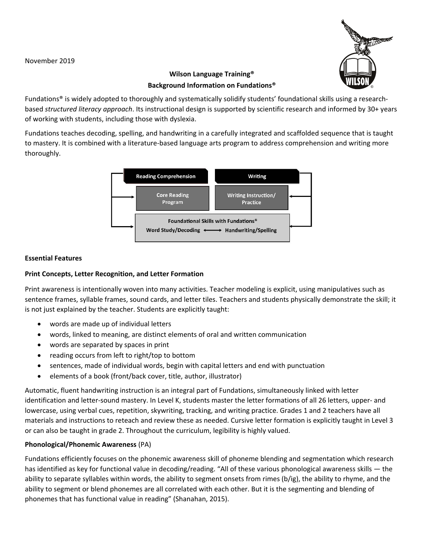November 2019



# **Wilson Language Training® Background Information on Fundations®**

Fundations® is widely adopted to thoroughly and systematically solidify students' foundational skills using a researchbased *structured literacy approach*. Its instructional design is supported by scientific research and informed by 30+ years of working with students, including those with dyslexia.

Fundations teaches decoding, spelling, and handwriting in a carefully integrated and scaffolded sequence that is taught to mastery. It is combined with a literature‐based language arts program to address comprehension and writing more thoroughly.



# **Essential Features**

# **Print Concepts, Letter Recognition, and Letter Formation**

Print awareness is intentionally woven into many activities. Teacher modeling is explicit, using manipulatives such as sentence frames, syllable frames, sound cards, and letter tiles. Teachers and students physically demonstrate the skill; it is not just explained by the teacher. Students are explicitly taught:

- words are made up of individual letters
- words, linked to meaning, are distinct elements of oral and written communication
- words are separated by spaces in print
- reading occurs from left to right/top to bottom
- sentences, made of individual words, begin with capital letters and end with punctuation
- elements of a book (front/back cover, title, author, illustrator)

Automatic, fluent handwriting instruction is an integral part of Fundations, simultaneously linked with letter identification and letter‐sound mastery. In Level K, students master the letter formations of all 26 letters, upper‐ and lowercase, using verbal cues, repetition, skywriting, tracking, and writing practice. Grades 1 and 2 teachers have all materials and instructions to reteach and review these as needed. Cursive letter formation is explicitly taught in Level 3 or can also be taught in grade 2. Throughout the curriculum, legibility is highly valued.

### **Phonological/Phonemic Awareness** (PA)

Fundations efficiently focuses on the phonemic awareness skill of phoneme blending and segmentation which research has identified as key for functional value in decoding/reading. "All of these various phonological awareness skills — the ability to separate syllables within words, the ability to segment onsets from rimes (b/ig), the ability to rhyme, and the ability to segment or blend phonemes are all correlated with each other. But it is the segmenting and blending of phonemes that has functional value in reading" (Shanahan, 2015).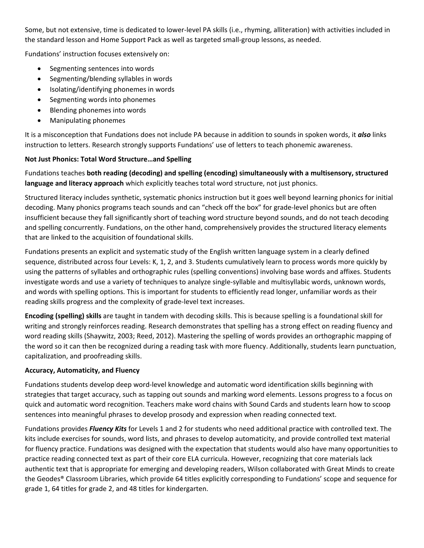Some, but not extensive, time is dedicated to lower‐level PA skills (i.e., rhyming, alliteration) with activities included in the standard lesson and Home Support Pack as well as targeted small‐group lessons, as needed.

Fundations' instruction focuses extensively on:

- Segmenting sentences into words
- Segmenting/blending syllables in words
- Isolating/identifying phonemes in words
- Segmenting words into phonemes
- Blending phonemes into words
- Manipulating phonemes

It is a misconception that Fundations does not include PA because in addition to sounds in spoken words, it *also* links instruction to letters. Research strongly supports Fundations' use of letters to teach phonemic awareness.

### **Not Just Phonics: Total Word Structure…and Spelling**

Fundations teaches **both reading (decoding) and spelling (encoding) simultaneously with a multisensory, structured language and literacy approach** which explicitly teaches total word structure, not just phonics.

Structured literacy includes synthetic, systematic phonics instruction but it goes well beyond learning phonics for initial decoding. Many phonics programs teach sounds and can "check off the box" for grade‐level phonics but are often insufficient because they fall significantly short of teaching word structure beyond sounds, and do not teach decoding and spelling concurrently. Fundations, on the other hand, comprehensively provides the structured literacy elements that are linked to the acquisition of foundational skills.

Fundations presents an explicit and systematic study of the English written language system in a clearly defined sequence, distributed across four Levels: K, 1, 2, and 3. Students cumulatively learn to process words more quickly by using the patterns of syllables and orthographic rules (spelling conventions) involving base words and affixes. Students investigate words and use a variety of techniques to analyze single‐syllable and multisyllabic words, unknown words, and words with spelling options. This is important for students to efficiently read longer, unfamiliar words as their reading skills progress and the complexity of grade‐level text increases.

**Encoding (spelling) skills** are taught in tandem with decoding skills. This is because spelling is a foundational skill for writing and strongly reinforces reading. Research demonstrates that spelling has a strong effect on reading fluency and word reading skills (Shaywitz, 2003; Reed, 2012). Mastering the spelling of words provides an orthographic mapping of the word so it can then be recognized during a reading task with more fluency. Additionally, students learn punctuation, capitalization, and proofreading skills.

### **Accuracy, Automaticity, and Fluency**

Fundations students develop deep word-level knowledge and automatic word identification skills beginning with strategies that target accuracy, such as tapping out sounds and marking word elements. Lessons progress to a focus on quick and automatic word recognition. Teachers make word chains with Sound Cards and students learn how to scoop sentences into meaningful phrases to develop prosody and expression when reading connected text.

Fundations provides *Fluency Kits* for Levels 1 and 2 for students who need additional practice with controlled text. The kits include exercises for sounds, word lists, and phrases to develop automaticity, and provide controlled text material for fluency practice. Fundations was designed with the expectation that students would also have many opportunities to practice reading connected text as part of their core ELA curricula. However, recognizing that core materials lack authentic text that is appropriate for emerging and developing readers, Wilson collaborated with Great Minds to create the Geodes® Classroom Libraries, which provide 64 titles explicitly corresponding to Fundations' scope and sequence for grade 1, 64 titles for grade 2, and 48 titles for kindergarten.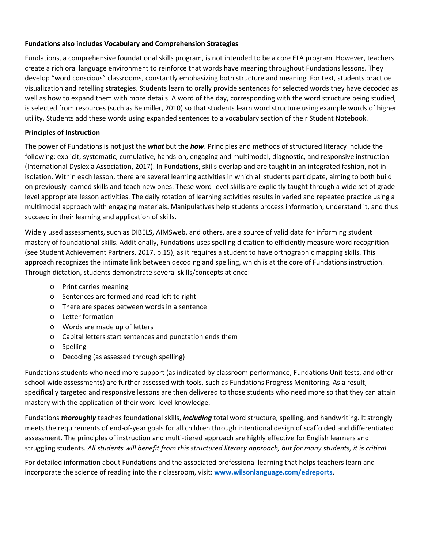#### **Fundations also includes Vocabulary and Comprehension Strategies**

Fundations, a comprehensive foundational skills program, is not intended to be a core ELA program. However, teachers create a rich oral language environment to reinforce that words have meaning throughout Fundations lessons. They develop "word conscious" classrooms, constantly emphasizing both structure and meaning. For text, students practice visualization and retelling strategies. Students learn to orally provide sentences for selected words they have decoded as well as how to expand them with more details. A word of the day, corresponding with the word structure being studied, is selected from resources (such as Beimiller, 2010) so that students learn word structure using example words of higher utility. Students add these words using expanded sentences to a vocabulary section of their Student Notebook.

#### **Principles of Instruction**

The power of Fundations is not just the *what* but the *how*. Principles and methods of structured literacy include the following: explicit, systematic, cumulative, hands‐on, engaging and multimodal, diagnostic, and responsive instruction (International Dyslexia Association, 2017). In Fundations, skills overlap and are taught in an integrated fashion, not in isolation. Within each lesson, there are several learning activities in which all students participate, aiming to both build on previously learned skills and teach new ones. These word-level skills are explicitly taught through a wide set of gradelevel appropriate lesson activities. The daily rotation of learning activities results in varied and repeated practice using a multimodal approach with engaging materials. Manipulatives help students process information, understand it, and thus succeed in their learning and application of skills.

Widely used assessments, such as DIBELS, AIMSweb, and others, are a source of valid data for informing student mastery of foundational skills. Additionally, Fundations uses spelling dictation to efficiently measure word recognition (see Student Achievement Partners, 2017, p.15), as it requires a student to have orthographic mapping skills. This approach recognizes the intimate link between decoding and spelling, which is at the core of Fundations instruction. Through dictation, students demonstrate several skills/concepts at once:

- o Print carries meaning
- o Sentences are formed and read left to right
- o There are spaces between words in a sentence
- o Letter formation
- o Words are made up of letters
- o Capital letters start sentences and punctation ends them
- o Spelling
- o Decoding (as assessed through spelling)

Fundations students who need more support (as indicated by classroom performance, Fundations Unit tests, and other school‐wide assessments) are further assessed with tools, such as Fundations Progress Monitoring. As a result, specifically targeted and responsive lessons are then delivered to those students who need more so that they can attain mastery with the application of their word‐level knowledge.

Fundations *thoroughly* teaches foundational skills, *including* total word structure, spelling, and handwriting. It strongly meets the requirements of end‐of‐year goals for all children through intentional design of scaffolded and differentiated assessment. The principles of instruction and multi‐tiered approach are highly effective for English learners and struggling students. *All students will benefit from this structured literacy approach, but for many students, it is critical.*

For detailed information about Fundations and the associated professional learning that helps teachers learn and incorporate the science of reading into their classroom, visit: **www.wilsonlanguage.com/edreports**.